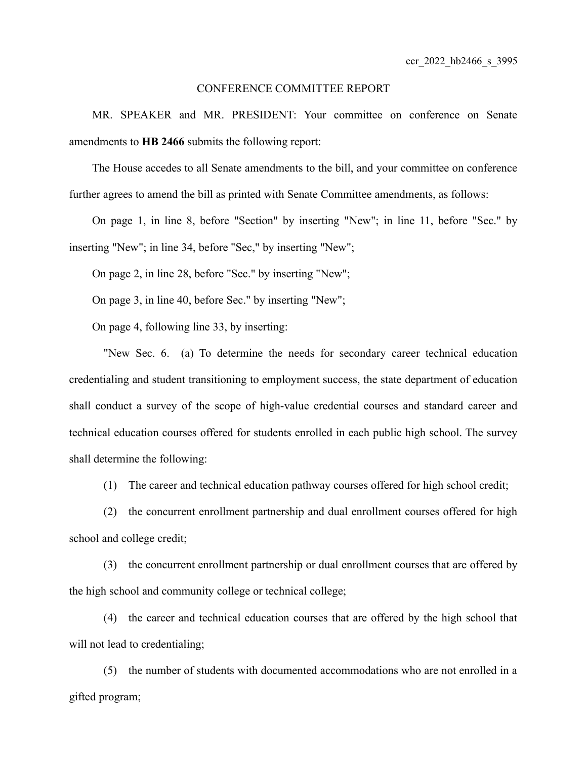## CONFERENCE COMMITTEE REPORT

MR. SPEAKER and MR. PRESIDENT: Your committee on conference on Senate amendments to **HB 2466** submits the following report:

The House accedes to all Senate amendments to the bill, and your committee on conference further agrees to amend the bill as printed with Senate Committee amendments, as follows:

On page 1, in line 8, before "Section" by inserting "New"; in line 11, before "Sec." by inserting "New"; in line 34, before "Sec," by inserting "New";

On page 2, in line 28, before "Sec." by inserting "New";

On page 3, in line 40, before Sec." by inserting "New";

On page 4, following line 33, by inserting:

"New Sec. 6. (a) To determine the needs for secondary career technical education credentialing and student transitioning to employment success, the state department of education shall conduct a survey of the scope of high-value credential courses and standard career and technical education courses offered for students enrolled in each public high school. The survey shall determine the following:

(1) The career and technical education pathway courses offered for high school credit;

(2) the concurrent enrollment partnership and dual enrollment courses offered for high school and college credit;

(3) the concurrent enrollment partnership or dual enrollment courses that are offered by the high school and community college or technical college;

(4) the career and technical education courses that are offered by the high school that will not lead to credentialing;

(5) the number of students with documented accommodations who are not enrolled in a gifted program;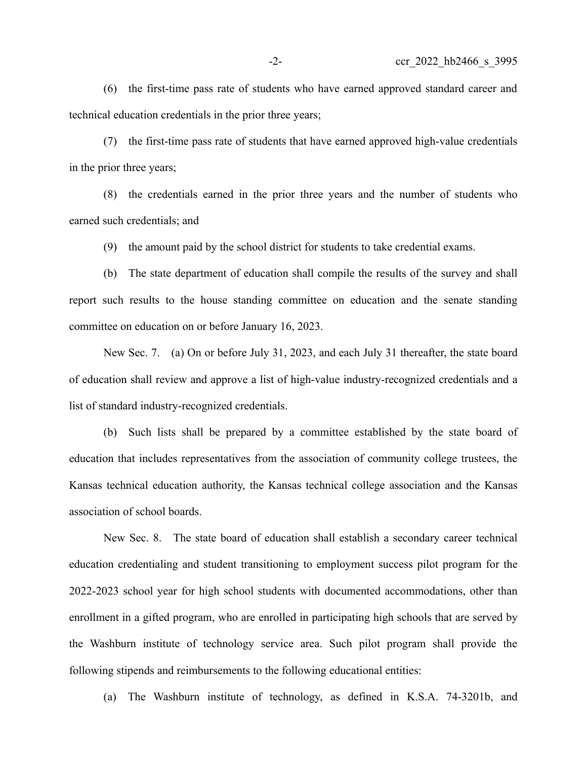(6) the first-time pass rate of students who have earned approved standard career and technical education credentials in the prior three years;

(7) the first-time pass rate of students that have earned approved high-value credentials in the prior three years;

(8) the credentials earned in the prior three years and the number of students who earned such credentials; and

(9) the amount paid by the school district for students to take credential exams.

(b) The state department of education shall compile the results of the survey and shall report such results to the house standing committee on education and the senate standing committee on education on or before January 16, 2023.

New Sec. 7. (a) On or before July 31, 2023, and each July 31 thereafter, the state board of education shall review and approve a list of high-value industry-recognized credentials and a list of standard industry-recognized credentials.

(b) Such lists shall be prepared by a committee established by the state board of education that includes representatives from the association of community college trustees, the Kansas technical education authority, the Kansas technical college association and the Kansas association of school boards.

New Sec. 8. The state board of education shall establish a secondary career technical education credentialing and student transitioning to employment success pilot program for the 2022-2023 school year for high school students with documented accommodations, other than enrollment in a gifted program, who are enrolled in participating high schools that are served by the Washburn institute of technology service area. Such pilot program shall provide the following stipends and reimbursements to the following educational entities:

(a) The Washburn institute of technology, as defined in K.S.A. 74-3201b, and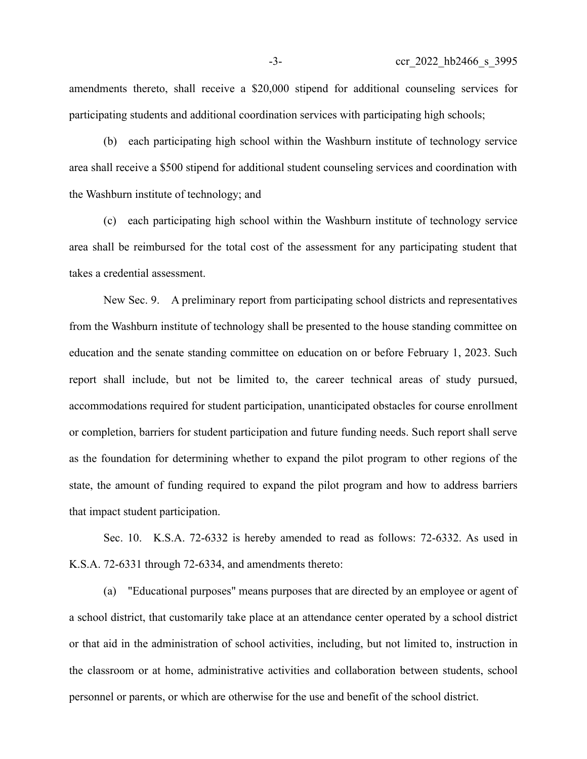amendments thereto, shall receive a \$20,000 stipend for additional counseling services for participating students and additional coordination services with participating high schools;

(b) each participating high school within the Washburn institute of technology service area shall receive a \$500 stipend for additional student counseling services and coordination with the Washburn institute of technology; and

(c) each participating high school within the Washburn institute of technology service area shall be reimbursed for the total cost of the assessment for any participating student that takes a credential assessment.

New Sec. 9. A preliminary report from participating school districts and representatives from the Washburn institute of technology shall be presented to the house standing committee on education and the senate standing committee on education on or before February 1, 2023. Such report shall include, but not be limited to, the career technical areas of study pursued, accommodations required for student participation, unanticipated obstacles for course enrollment or completion, barriers for student participation and future funding needs. Such report shall serve as the foundation for determining whether to expand the pilot program to other regions of the state, the amount of funding required to expand the pilot program and how to address barriers that impact student participation.

Sec. 10. K.S.A. 72-6332 is hereby amended to read as follows: 72-6332. As used in K.S.A. 72-6331 through 72-6334, and amendments thereto:

(a) "Educational purposes" means purposes that are directed by an employee or agent of a school district, that customarily take place at an attendance center operated by a school district or that aid in the administration of school activities, including, but not limited to, instruction in the classroom or at home, administrative activities and collaboration between students, school personnel or parents, or which are otherwise for the use and benefit of the school district.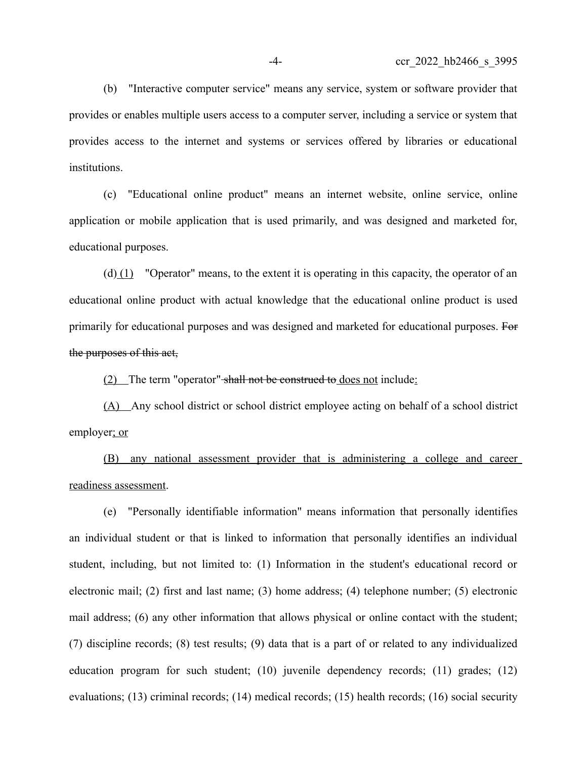(b) "Interactive computer service" means any service, system or software provider that provides or enables multiple users access to a computer server, including a service or system that provides access to the internet and systems or services offered by libraries or educational institutions.

(c) "Educational online product" means an internet website, online service, online application or mobile application that is used primarily, and was designed and marketed for, educational purposes.

(d)  $(1)$  "Operator" means, to the extent it is operating in this capacity, the operator of an educational online product with actual knowledge that the educational online product is used primarily for educational purposes and was designed and marketed for educational purposes. For the purposes of this act,

(2) The term "operator" shall not be construed to does not include:

(A) Any school district or school district employee acting on behalf of a school district employer; or

(B) any national assessment provider that is administering a college and career readiness assessment.

(e) "Personally identifiable information" means information that personally identifies an individual student or that is linked to information that personally identifies an individual student, including, but not limited to: (1) Information in the student's educational record or electronic mail; (2) first and last name; (3) home address; (4) telephone number; (5) electronic mail address; (6) any other information that allows physical or online contact with the student; (7) discipline records; (8) test results; (9) data that is a part of or related to any individualized education program for such student; (10) juvenile dependency records; (11) grades; (12) evaluations; (13) criminal records; (14) medical records; (15) health records; (16) social security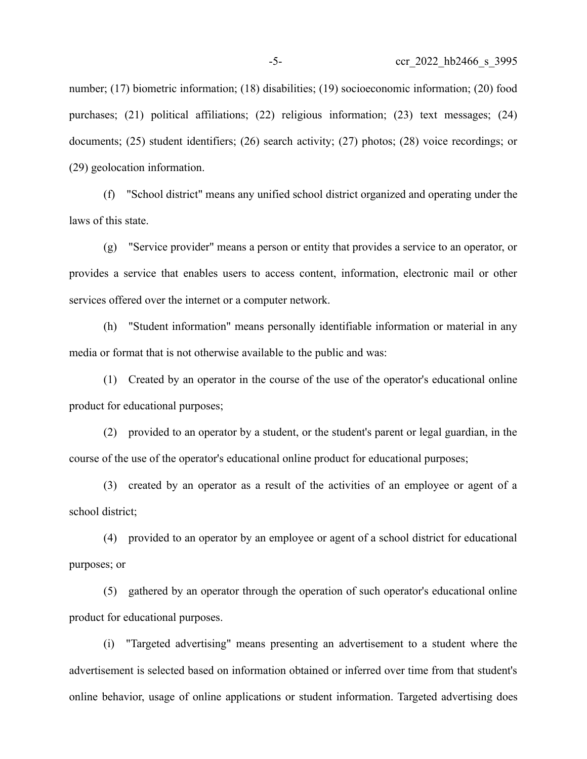number; (17) biometric information; (18) disabilities; (19) socioeconomic information; (20) food purchases; (21) political affiliations; (22) religious information; (23) text messages; (24) documents; (25) student identifiers; (26) search activity; (27) photos; (28) voice recordings; or (29) geolocation information.

(f) "School district" means any unified school district organized and operating under the laws of this state.

(g) "Service provider" means a person or entity that provides a service to an operator, or provides a service that enables users to access content, information, electronic mail or other services offered over the internet or a computer network.

(h) "Student information" means personally identifiable information or material in any media or format that is not otherwise available to the public and was:

(1) Created by an operator in the course of the use of the operator's educational online product for educational purposes;

(2) provided to an operator by a student, or the student's parent or legal guardian, in the course of the use of the operator's educational online product for educational purposes;

(3) created by an operator as a result of the activities of an employee or agent of a school district;

(4) provided to an operator by an employee or agent of a school district for educational purposes; or

(5) gathered by an operator through the operation of such operator's educational online product for educational purposes.

(i) "Targeted advertising" means presenting an advertisement to a student where the advertisement is selected based on information obtained or inferred over time from that student's online behavior, usage of online applications or student information. Targeted advertising does